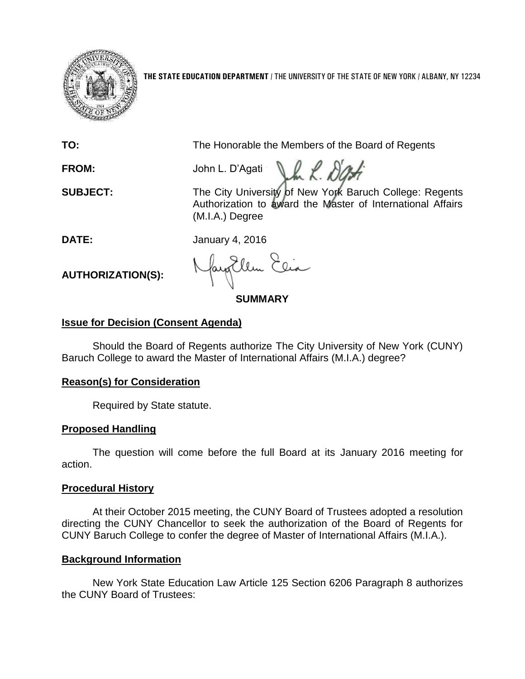

**THE STATE EDUCATION DEPARTMENT** / THE UNIVERSITY OF THE STATE OF NEW YORK / ALBANY, NY 12234

**TO:** The Honorable the Members of the Board of Regents

Vm R. Dati **FROM:** John L. D'Agati

**SUBJECT:** The City University of New York Baruch College: Regents Authorization to award the Master of International Affairs (M.I.A.) Degree

**DATE:** January 4, 2016

**AUTHORIZATION(S):**

fayEllen Elia

**SUMMARY**

## **Issue for Decision (Consent Agenda)**

Should the Board of Regents authorize The City University of New York (CUNY) Baruch College to award the Master of International Affairs (M.I.A.) degree?

## **Reason(s) for Consideration**

Required by State statute.

# **Proposed Handling**

The question will come before the full Board at its January 2016 meeting for action.

## **Procedural History**

At their October 2015 meeting, the CUNY Board of Trustees adopted a resolution directing the CUNY Chancellor to seek the authorization of the Board of Regents for CUNY Baruch College to confer the degree of Master of International Affairs (M.I.A.).

# **Background Information**

New York State Education Law Article 125 Section 6206 Paragraph 8 authorizes the CUNY Board of Trustees: